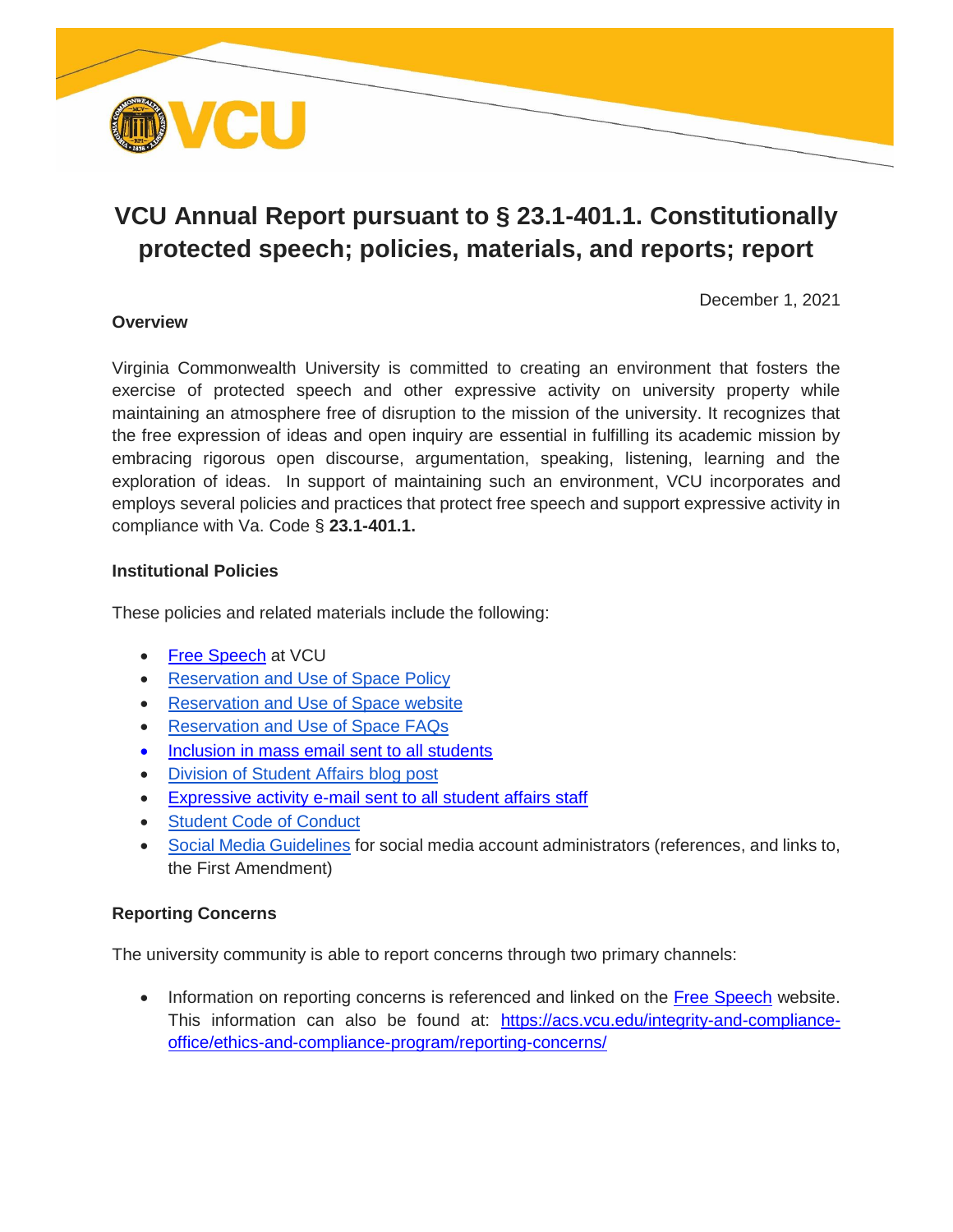

# **VCU Annual Report pursuant to § 23.1-401.1. Constitutionally protected speech; policies, materials, and reports; report**

December 1, 2021

# **Overview**

Virginia Commonwealth University is committed to creating an environment that fosters the exercise of protected speech and other expressive activity on university property while maintaining an atmosphere free of disruption to the mission of the university. It recognizes that the free expression of ideas and open inquiry are essential in fulfilling its academic mission by embracing rigorous open discourse, argumentation, speaking, listening, learning and the exploration of ideas. In support of maintaining such an environment, VCU incorporates and employs several policies and practices that protect free speech and support expressive activity in compliance with Va. Code § **23.1-401.1.** 

# **Institutional Policies**

These policies and related materials include the following:

- [Free Speech](https://freespeech.vcu.edu/) at VCU
- [Reservation and Use of Space Policy](https://policy.vcu.edu/sites/default/files/Reservation%20and%20Use%20of%20Space.pdf)
- [Reservation and Use of Space website](https://dos.vcu.edu/resources/ram-voice/)
- [Reservation and Use of Space FAQs](https://dos.vcu.edu/resources/ram-voice/faq/)
- [Inclusion in mass email sent to all students](https://blogs.vcu.edu/studentaffairs/index.php/expressive-activity-at-vcu-fall-2021/)
- [Division of Student Affairs blog post](https://blogs.vcu.edu/studentaffairs/index.php/expressive-activity-at-vcu-fall-2021/)
- [Expressive activity e-mail sent to all student affairs staff](https://orange.hosting.lsoft.com/list/ov8ia944/211004X/189k427mfmtz.vib?a0=629)
- [Student Code of Conduct](https://policy.vcu.edu/sites/default/files/Student%20Code%20of%20Conduct.pdf)
- [Social Media Guidelines](https://socialmedia.vcu.edu/for-social-admins/) for social media account administrators (references, and links to, the First Amendment)

# **Reporting Concerns**

The university community is able to report concerns through two primary channels:

 Information on reporting concerns is referenced and linked on the [Free Speech](https://freespeech.vcu.edu/) website. This information can also be found at: [https://acs.vcu.edu/integrity-and-compliance](https://acs.vcu.edu/integrity-and-compliance-office/ethics-and-compliance-program/reporting-concerns/)[office/ethics-and-compliance-program/reporting-concerns/](https://acs.vcu.edu/integrity-and-compliance-office/ethics-and-compliance-program/reporting-concerns/)